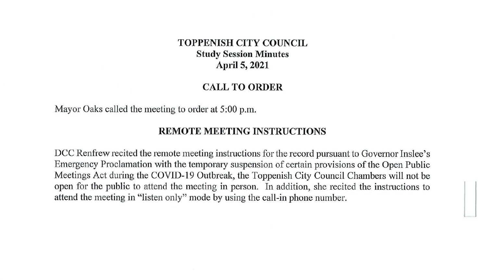# **TOPPENISH CITY COUNCIL Study Session Minutes April 5, 2021**

## **CALL TO ORDER**

Mayor Oaks called the meeting to order at 5:00 p.m.

## **REMOTE MEETING INSTRUCTIONS**

DCC Renfrew recited the remote meeting instructions for the record pursuant to Governor Inslee's Emergency Proclamation with the temporary suspension of certain provisions of the Open Public Meetings Act during the COVID-19 Outbreak, the Toppenish City Council Chambers will not be open for the public to attend the meeting in person. In addition, she recited the instructions to attend the meeting in "listen only" mode by using the call-in phone number.